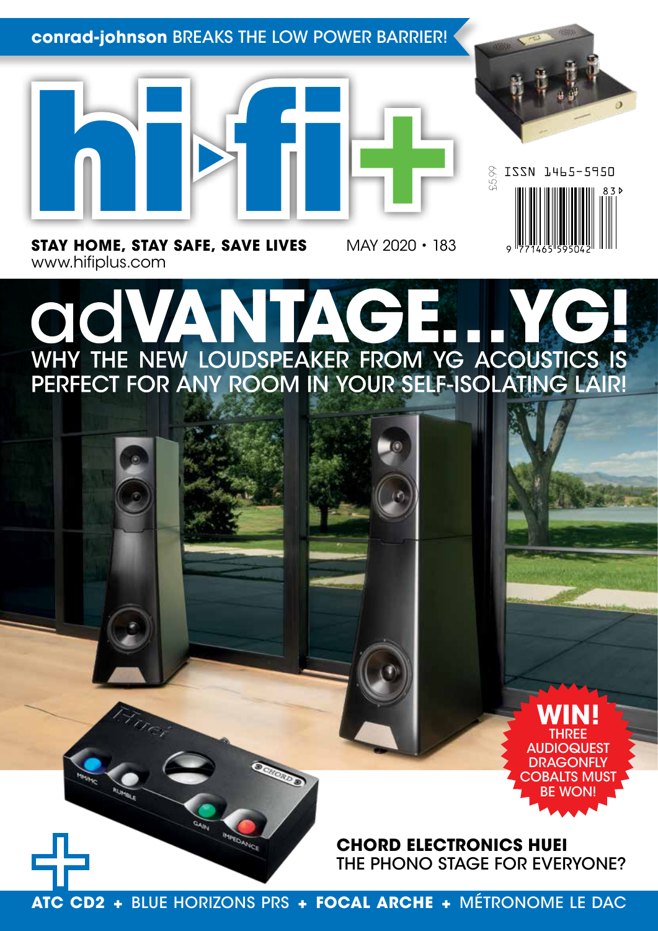### **conrad-johnson** BREAKS THE LOW POWER BARRIER!





£5.99

ISSN 1465-5950

**STAY HOME, STAY SAFE, SAVE LIVES** MAY 2020 • 183 www.hifiplus.com

## **TA** OK WHY THE NEW LOUDSPEAKER FROM YG ACOUSTICS IS<br>PERFECT FOR ANY ROOM IN YOUR SELF-ISOLATING LAIR!

**WIN!** THREE **AUDIOQUEST DRAGONFLY** COBALTS MUST BE WON!

**CHORD ELECTRONICS HUEI** THE PHONO STAGE FOR EVERYONE?

**ATC CD2 +** BLUE HORIZONS PRS **+ FOCAL ARCHE +** MÉTRONOME LE DAC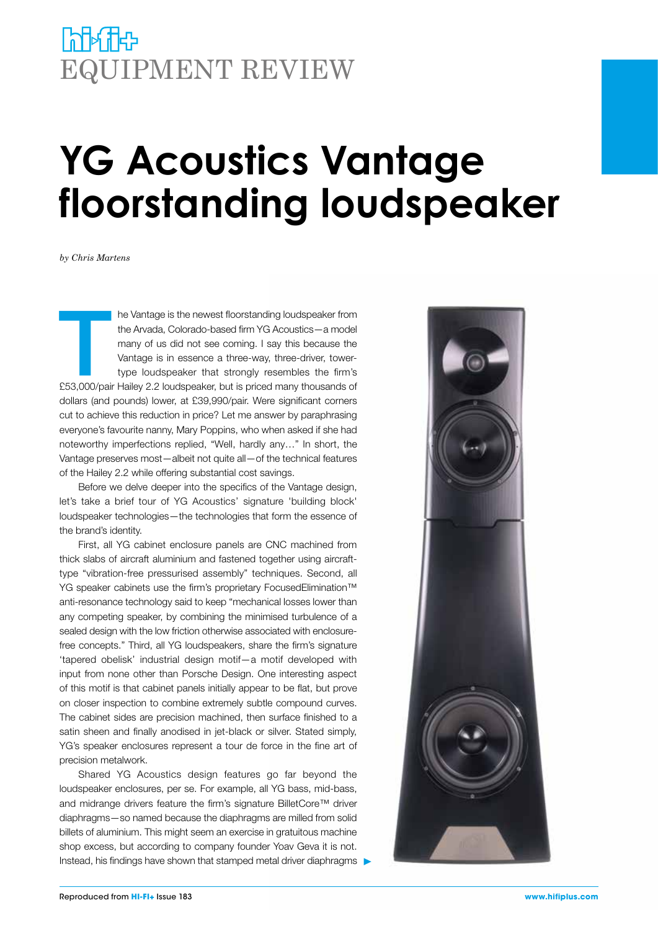### **NHATH** EQUIPMENT REVIEW

# **YG Acoustics Vantage floorstanding loudspeaker**

*by Chris Martens*

The Vantage is the newest floorstanding loudspeaker from<br>
the Arvada, Colorado-based firm YG Acoustics — a model<br>
many of us did not see coming. I say this because the<br>
Vantage is in essence a three-way, three-driver, towe the Arvada, Colorado-based firm YG Acoustics—a model many of us did not see coming. I say this because the Vantage is in essence a three-way, three-driver, towertype loudspeaker that strongly resembles the firm's dollars (and pounds) lower, at £39,990/pair. Were significant corners cut to achieve this reduction in price? Let me answer by paraphrasing everyone's favourite nanny, Mary Poppins, who when asked if she had noteworthy imperfections replied, "Well, hardly any…" In short, the Vantage preserves most—albeit not quite all—of the technical features of the Hailey 2.2 while offering substantial cost savings.

Before we delve deeper into the specifics of the Vantage design, let's take a brief tour of YG Acoustics' signature 'building block' loudspeaker technologies—the technologies that form the essence of the brand's identity.

First, all YG cabinet enclosure panels are CNC machined from thick slabs of aircraft aluminium and fastened together using aircrafttype "vibration-free pressurised assembly" techniques. Second, all YG speaker cabinets use the firm's proprietary FocusedElimination™ anti-resonance technology said to keep "mechanical losses lower than any competing speaker, by combining the minimised turbulence of a sealed design with the low friction otherwise associated with enclosurefree concepts." Third, all YG loudspeakers, share the firm's signature 'tapered obelisk' industrial design motif—a motif developed with input from none other than Porsche Design. One interesting aspect of this motif is that cabinet panels initially appear to be flat, but prove on closer inspection to combine extremely subtle compound curves. The cabinet sides are precision machined, then surface finished to a satin sheen and finally anodised in jet-black or silver. Stated simply, YG's speaker enclosures represent a tour de force in the fine art of precision metalwork.

Shared YG Acoustics design features go far beyond the loudspeaker enclosures, per se. For example, all YG bass, mid-bass, and midrange drivers feature the firm's signature BilletCore™ driver diaphragms—so named because the diaphragms are milled from solid billets of aluminium. This might seem an exercise in gratuitous machine shop excess, but according to company founder Yoav Geva it is not. Instead, his findings have shown that stamped metal driver diaphragms  $\blacktriangleright$ 

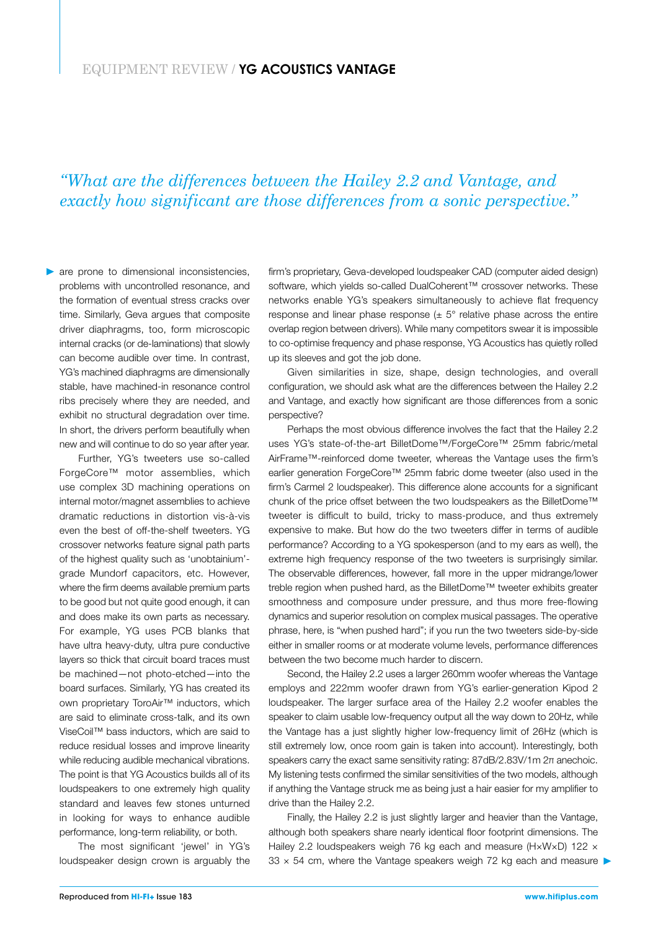#### EQUIPMENT REVIEW / **YG ACOUSTICS VANTAGE**

#### *"What are the differences between the Hailey 2.2 and Vantage, and exactly how significant are those differences from a sonic perspective."*

**are prone to dimensional inconsistencies,** problems with uncontrolled resonance, and the formation of eventual stress cracks over time. Similarly, Geva argues that composite driver diaphragms, too, form microscopic internal cracks (or de-laminations) that slowly can become audible over time. In contrast, YG's machined diaphragms are dimensionally stable, have machined-in resonance control ribs precisely where they are needed, and exhibit no structural degradation over time. In short, the drivers perform beautifully when new and will continue to do so year after year.

Further, YG's tweeters use so-called ForgeCore™ motor assemblies, which use complex 3D machining operations on internal motor/magnet assemblies to achieve dramatic reductions in distortion vis-à-vis even the best of off-the-shelf tweeters. YG crossover networks feature signal path parts of the highest quality such as 'unobtainium' grade Mundorf capacitors, etc. However, where the firm deems available premium parts to be good but not quite good enough, it can and does make its own parts as necessary. For example, YG uses PCB blanks that have ultra heavy-duty, ultra pure conductive layers so thick that circuit board traces must be machined—not photo-etched—into the board surfaces. Similarly, YG has created its own proprietary ToroAir™ inductors, which are said to eliminate cross-talk, and its own ViseCoil™ bass inductors, which are said to reduce residual losses and improve linearity while reducing audible mechanical vibrations. The point is that YG Acoustics builds all of its loudspeakers to one extremely high quality standard and leaves few stones unturned in looking for ways to enhance audible performance, long-term reliability, or both.

The most significant 'jewel' in YG's loudspeaker design crown is arguably the

firm's proprietary, Geva-developed loudspeaker CAD (computer aided design) software, which yields so-called DualCoherent™ crossover networks. These networks enable YG's speakers simultaneously to achieve flat frequency response and linear phase response  $(± 5°$  relative phase across the entire overlap region between drivers). While many competitors swear it is impossible to co-optimise frequency and phase response, YG Acoustics has quietly rolled up its sleeves and got the job done.

Given similarities in size, shape, design technologies, and overall configuration, we should ask what are the differences between the Hailey 2.2 and Vantage, and exactly how significant are those differences from a sonic perspective?

Perhaps the most obvious difference involves the fact that the Hailey 2.2 uses YG's state-of-the-art BilletDome™/ForgeCore™ 25mm fabric/metal AirFrame™-reinforced dome tweeter, whereas the Vantage uses the firm's earlier generation ForgeCore™ 25mm fabric dome tweeter (also used in the firm's Carmel 2 loudspeaker). This difference alone accounts for a significant chunk of the price offset between the two loudspeakers as the BilletDome™ tweeter is difficult to build, tricky to mass-produce, and thus extremely expensive to make. But how do the two tweeters differ in terms of audible performance? According to a YG spokesperson (and to my ears as well), the extreme high frequency response of the two tweeters is surprisingly similar. The observable differences, however, fall more in the upper midrange/lower treble region when pushed hard, as the BilletDome™ tweeter exhibits greater smoothness and composure under pressure, and thus more free-flowing dynamics and superior resolution on complex musical passages. The operative phrase, here, is "when pushed hard"; if you run the two tweeters side-by-side either in smaller rooms or at moderate volume levels, performance differences between the two become much harder to discern.

Second, the Hailey 2.2 uses a larger 260mm woofer whereas the Vantage employs and 222mm woofer drawn from YG's earlier-generation Kipod 2 loudspeaker. The larger surface area of the Hailey 2.2 woofer enables the speaker to claim usable low-frequency output all the way down to 20Hz, while the Vantage has a just slightly higher low-frequency limit of 26Hz (which is still extremely low, once room gain is taken into account). Interestingly, both speakers carry the exact same sensitivity rating: 87dB/2.83V/1m 2π anechoic. My listening tests confirmed the similar sensitivities of the two models, although if anything the Vantage struck me as being just a hair easier for my amplifier to drive than the Hailey 2.2.

Finally, the Hailey 2.2 is just slightly larger and heavier than the Vantage, although both speakers share nearly identical floor footprint dimensions. The Hailey 2.2 loudspeakers weigh 76 kg each and measure (HxWxD) 122 x 33  $\times$  54 cm, where the Vantage speakers weigh 72 kg each and measure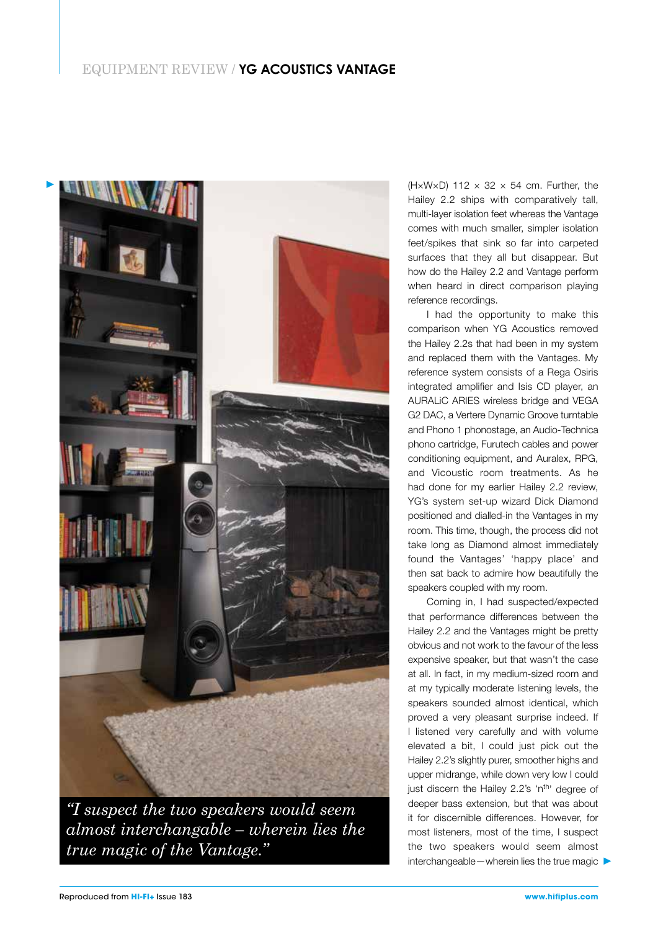#### EQUIPMENT REVIEW / **YG ACOUSTICS VANTAGE**



*"I suspect the two speakers would seem almost interchangable – wherein lies the true magic of the Vantage."*

(H×W×D) 112  $\times$  32  $\times$  54 cm. Further, the Hailey 2.2 ships with comparatively tall, multi-layer isolation feet whereas the Vantage comes with much smaller, simpler isolation feet/spikes that sink so far into carpeted surfaces that they all but disappear. But how do the Hailey 2.2 and Vantage perform when heard in direct comparison playing reference recordings.

I had the opportunity to make this comparison when YG Acoustics removed the Hailey 2.2s that had been in my system and replaced them with the Vantages. My reference system consists of a Rega Osiris integrated amplifier and Isis CD player, an AURALiC ARIES wireless bridge and VEGA G2 DAC, a Vertere Dynamic Groove turntable and Phono 1 phonostage, an Audio-Technica phono cartridge, Furutech cables and power conditioning equipment, and Auralex, RPG, and Vicoustic room treatments. As he had done for my earlier Hailey 2.2 review, YG's system set-up wizard Dick Diamond positioned and dialled-in the Vantages in my room. This time, though, the process did not take long as Diamond almost immediately found the Vantages' 'happy place' and then sat back to admire how beautifully the speakers coupled with my room.

Coming in, I had suspected/expected that performance differences between the Hailey 2.2 and the Vantages might be pretty obvious and not work to the favour of the less expensive speaker, but that wasn't the case at all. In fact, in my medium-sized room and at my typically moderate listening levels, the speakers sounded almost identical, which proved a very pleasant surprise indeed. If I listened very carefully and with volume elevated a bit, I could just pick out the Hailey 2.2's slightly purer, smoother highs and upper midrange, while down very low I could just discern the Hailey 2.2's 'n<sup>th</sup>' degree of deeper bass extension, but that was about it for discernible differences. However, for most listeners, most of the time, I suspect the two speakers would seem almost interchangeable—wherein lies the true magic